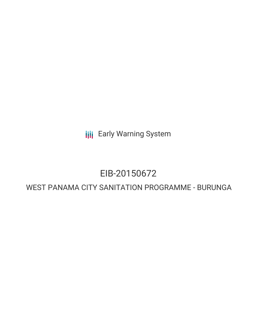**III** Early Warning System

# EIB-20150672

# WEST PANAMA CITY SANITATION PROGRAMME - BURUNGA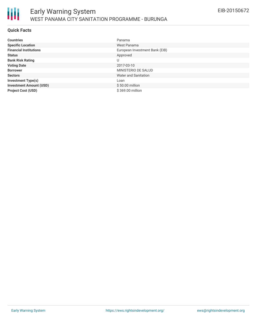

#### **Quick Facts**

| <b>Countries</b>               | Panama                         |
|--------------------------------|--------------------------------|
| <b>Specific Location</b>       | West Panama                    |
| <b>Financial Institutions</b>  | European Investment Bank (EIB) |
| <b>Status</b>                  | Approved                       |
| <b>Bank Risk Rating</b>        | U                              |
| <b>Voting Date</b>             | 2017-03-10                     |
| <b>Borrower</b>                | MINISTERIO DE SALUD            |
| <b>Sectors</b>                 | Water and Sanitation           |
| <b>Investment Type(s)</b>      | Loan                           |
| <b>Investment Amount (USD)</b> | \$50.00 million                |
| <b>Project Cost (USD)</b>      | \$369.00 million               |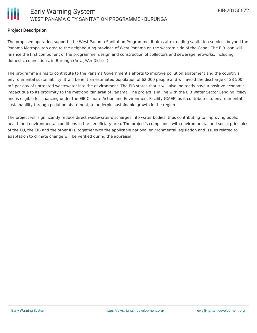

# **Project Description**

The proposed operation supports the West Panama Sanitation Programme. It aims at extending sanitation services beyond the Panama Metropolitan area to the neighbouring province of West Panama on the western side of the Canal. The EIB loan will finance the first component of the programme: design and construction of collectors and sewerage networks, including domestic connections, in Burunga (ArraijAAn District).

The programme aims to contribute to the Panama Government's efforts to improve pollution abatement and the country's environmental sustainability. It will benefit an estimated population of 62 000 people and will avoid the discharge of 28 500 m3 per day of untreated wastewater into the environment. The EIB states that it will also indirectly have a positive economic impact due to its proximity to the metropolitan area of Panama. The project is in line with the EIB Water Sector Lending Policy and is eligible for financing under the EIB Climate Action and Environment Facility (CAEF) as it contributes to environmental sustainability through pollution abatement, to underpin sustainable growth in the region.

The project will significantly reduce direct wastewater discharges into water bodies, thus contributing to improving public health and environmental conditions in the beneficiary area. The project's compliance with environmental and social principles of the EU, the EIB and the other IFIs, together with the applicable national environmental legislation and issues related to adaptation to climate change will be verified during the appraisal.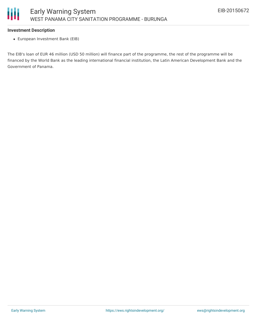#### **Investment Description**

European Investment Bank (EIB)

The EIB's loan of EUR 46 million (USD 50 million) will finance part of the programme, the rest of the programme will be financed by the World Bank as the leading international financial institution, the Latin American Development Bank and the Government of Panama.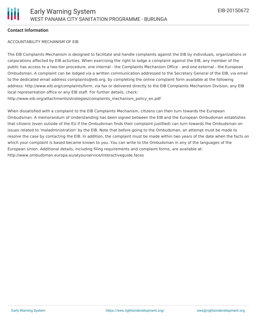# **Contact Information**

#### ACCOUNTABILITY MECHANISM OF EIB

The EIB Complaints Mechanism is designed to facilitate and handle complaints against the EIB by individuals, organizations or corporations affected by EIB activities. When exercising the right to lodge a complaint against the EIB, any member of the public has access to a two-tier procedure, one internal - the Complaints Mechanism Office - and one external - the European Ombudsman. A complaint can be lodged via a written communication addressed to the Secretary General of the EIB, via email to the dedicated email address complaints@eib.org, by completing the online complaint form available at the following address: http://www.eib.org/complaints/form, via fax or delivered directly to the EIB Complaints Mechanism Division, any EIB local representation office or any EIB staff. For further details, check: http://www.eib.org/attachments/strategies/complaints\_mechanism\_policy\_en.pdf

When dissatisfied with a complaint to the EIB Complaints Mechanism, citizens can then turn towards the European Ombudsman. A memorandum of Understanding has been signed between the EIB and the European Ombudsman establishes that citizens (even outside of the EU if the Ombudsman finds their complaint justified) can turn towards the Ombudsman on issues related to 'maladministration' by the EIB. Note that before going to the Ombudsman, an attempt must be made to resolve the case by contacting the EIB. In addition, the complaint must be made within two years of the date when the facts on which your complaint is based became known to you. You can write to the Ombudsman in any of the languages of the European Union. Additional details, including filing requirements and complaint forms, are available at: http://www.ombudsman.europa.eu/atyourservice/interactiveguide.faces